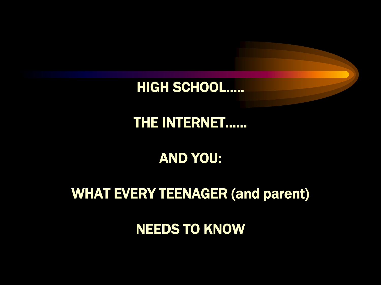#### NEEDS TO KNOW

#### WHAT EVERY TEENAGER (and parent)

### AND YOU:

#### THE INTERNET……

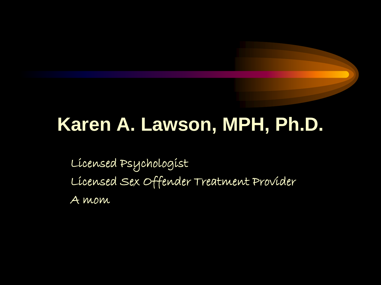## **Karen A. Lawson, MPH, Ph.D.**

Licensed Psychologist Licensed Sex Offender Treatment Provider A mom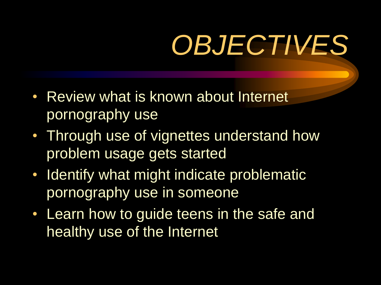# *OBJECTIVES*

- Review what is known about Internet pornography use
- Through use of vignettes understand how problem usage gets started
- Identify what might indicate problematic pornography use in someone
- Learn how to guide teens in the safe and healthy use of the Internet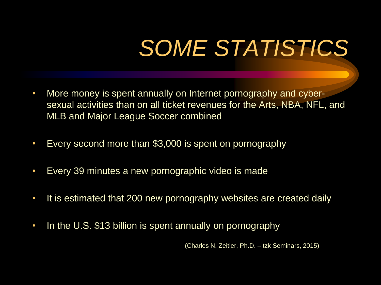# *SOME STATISTICS*

- More money is spent annually on Internet pornography and cybersexual activities than on all ticket revenues for the Arts, NBA, NFL, and MLB and Major League Soccer combined
- Every second more than \$3,000 is spent on pornography
- Every 39 minutes a new pornographic video is made
- It is estimated that 200 new pornography websites are created daily
- In the U.S. \$13 billion is spent annually on pornography

(Charles N. Zeitler, Ph.D. – tzk Seminars, 2015)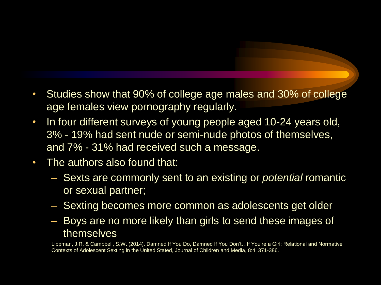- Studies show that 90% of college age males and 30% of college age females view pornography regularly.
- In four different surveys of young people aged 10-24 years old, 3% - 19% had sent nude or semi-nude photos of themselves, and 7% - 31% had received such a message.
- The authors also found that:
	- Sexts are commonly sent to an existing or *potential* romantic or sexual partner;
	- Sexting becomes more common as adolescents get older
	- Boys are no more likely than girls to send these images of themselves

Lippman, J.R. & Campbell, S.W. (2014). Damned If You Do, Damned If You Don't…If You're a Girl: Relational and Normative Contexts of Adolescent Sexting in the United Stated, Journal of Children and Media, 8:4, 371-386.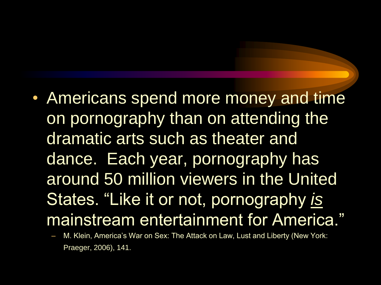- Americans spend more money and time on pornography than on attending the dramatic arts such as theater and dance. Each year, pornography has around 50 million viewers in the United States. "Like it or not, pornography *is* mainstream entertainment for America."
	- M. Klein, America's War on Sex: The Attack on Law, Lust and Liberty (New York: Praeger, 2006), 141.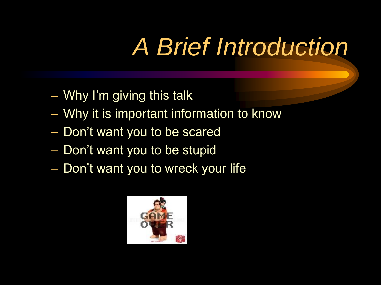# *A Brief Introduction*

- Why I'm giving this talk
- Why it is important information to know
- Don't want you to be scared
- Don't want you to be stupid
- Don't want you to wreck your life

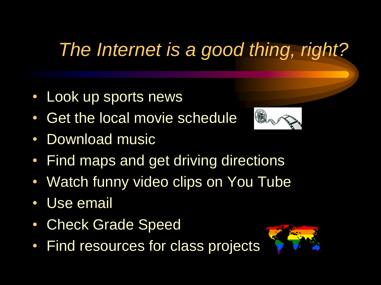## *The Internet is a good thing, right?*

- Look up sports news
- Get the local movie schedule
- Download music



- Watch funny video clips on You Tube
- Use email
- Check Grade Speed
- Find resources for class projects

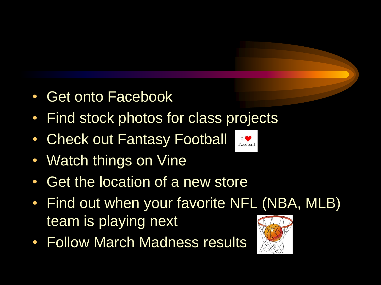- Get onto Facebook
- Find stock photos for class projects
- Check out Fantasy Football
- Watch things on Vine
- Get the location of a new store
- Find out when your favorite NFL (NBA, MLB) team is playing next
- Follow March Madness results

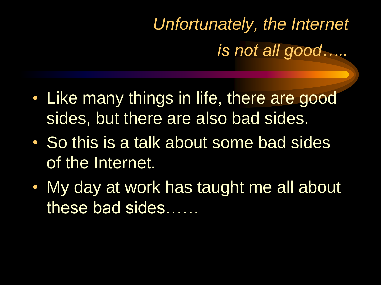## *Unfortunately, the Internet is not all good…..*

- Like many things in life, there are good sides, but there are also bad sides.
- So this is a talk about some bad sides of the Internet.
- My day at work has taught me all about these bad sides……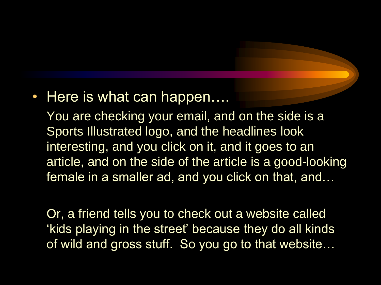#### • Here is what can happen....

You are checking your email, and on the side is a Sports Illustrated logo, and the headlines look interesting, and you click on it, and it goes to an article, and on the side of the article is a good-looking female in a smaller ad, and you click on that, and…

Or, a friend tells you to check out a website called 'kids playing in the street' because they do all kinds of wild and gross stuff. So you go to that website…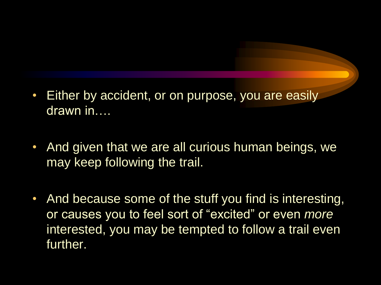- Either by accident, or on purpose, you are easily drawn in….
- And given that we are all curious human beings, we may keep following the trail.
- And because some of the stuff you find is interesting, or causes you to feel sort of "excited" or even *more* interested, you may be tempted to follow a trail even further.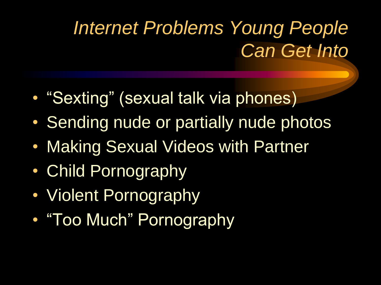## *Internet Problems Young People Can Get Into*

- "Sexting" (sexual talk via phones)
- Sending nude or partially nude photos
- Making Sexual Videos with Partner
- Child Pornography
- Violent Pornography
- "Too Much" Pornography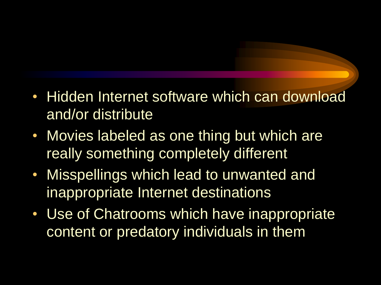- Hidden Internet software which can download and/or distribute
- Movies labeled as one thing but which are really something completely different
- Misspellings which lead to unwanted and inappropriate Internet destinations
- Use of Chatrooms which have inappropriate content or predatory individuals in them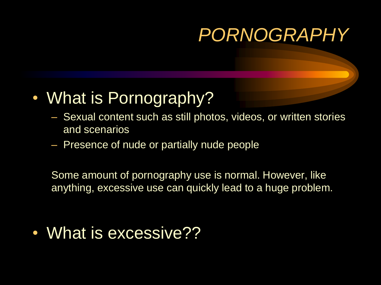### *PORNOGRAPHY*

- What is Pornography?
	- Sexual content such as still photos, videos, or written stories and scenarios
	- Presence of nude or partially nude people

Some amount of pornography use is normal. However, like anything, excessive use can quickly lead to a huge problem.

• What is excessive??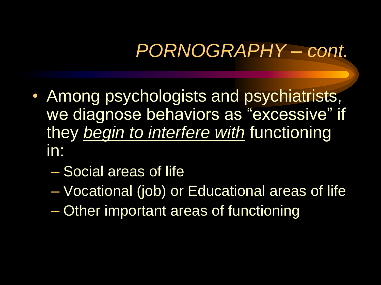## *PORNOGRAPHY – cont.*

- Among psychologists and psychiatrists, we diagnose behaviors as "excessive" if they *begin to interfere with* functioning in:
	- Social areas of life
	- Vocational (job) or Educational areas of life
	- Other important areas of functioning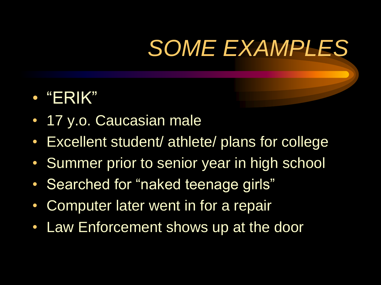# *SOME EXAMPLES*

- "ERIK"
- 17 y.o. Caucasian male
- Excellent student/ athlete/ plans for college
- Summer prior to senior year in high school
- Searched for "naked teenage girls"
- Computer later went in for a repair
- Law Enforcement shows up at the door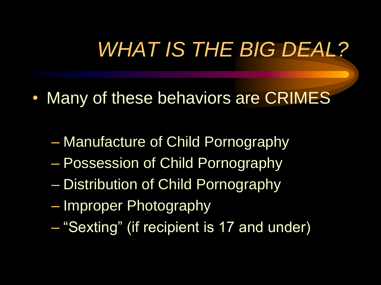## *WHAT IS THE BIG DEAL?*

- Many of these behaviors are CRIMES
	- Manufacture of Child Pornography
	- Possession of Child Pornography
	- Distribution of Child Pornography
	- Improper Photography
	- "Sexting" (if recipient is 17 and under)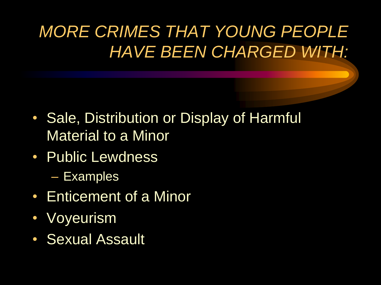### *MORE CRIMES THAT YOUNG PEOPLE HAVE BEEN CHARGED WITH:*

- Sale, Distribution or Display of Harmful Material to a Minor
- Public Lewdness
	- Examples
- Enticement of a Minor
- Voyeurism
- Sexual Assault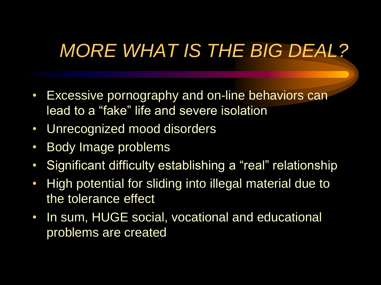## *MORE WHAT IS THE BIG DEAL?*

- Excessive pornography and on-line behaviors can lead to a "fake" life and severe isolation
- Unrecognized mood disorders
- Body Image problems
- Significant difficulty establishing a "real" relationship
- High potential for sliding into illegal material due to the tolerance effect
- In sum, HUGE social, vocational and educational problems are created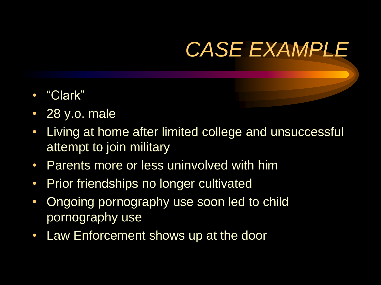## *CASE EXAMPLE*

- "Clark"
- 28 y.o. male
- Living at home after limited college and unsuccessful attempt to join military
- Parents more or less uninvolved with him
- Prior friendships no longer cultivated
- Ongoing pornography use soon led to child pornography use
- Law Enforcement shows up at the door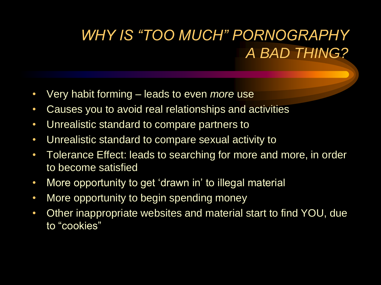### *WHY IS "TOO MUCH" PORNOGRAPHY A BAD THING?*

- Very habit forming leads to even *more* use
- Causes you to avoid real relationships and activities
- Unrealistic standard to compare partners to
- Unrealistic standard to compare sexual activity to
- Tolerance Effect: leads to searching for more and more, in order to become satisfied
- More opportunity to get 'drawn in' to illegal material
- More opportunity to begin spending money
- Other inappropriate websites and material start to find YOU, due to "cookies"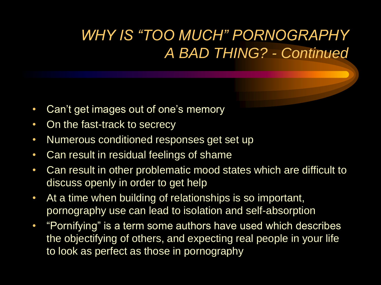### *WHY IS "TOO MUCH" PORNOGRAPHY A BAD THING? - Continued*

- Can't get images out of one's memory
- On the fast-track to secrecy
- Numerous conditioned responses get set up
- Can result in residual feelings of shame
- Can result in other problematic mood states which are difficult to discuss openly in order to get help
- At a time when building of relationships is so important, pornography use can lead to isolation and self-absorption
- "Pornifying" is a term some authors have used which describes the objectifying of others, and expecting real people in your life to look as perfect as those in pornography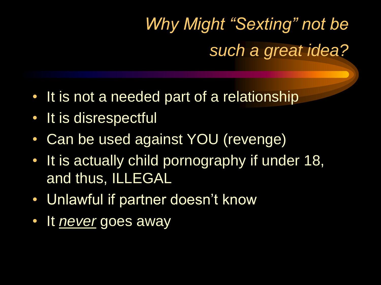*Why Might "Sexting" not be such a great idea?* 

- It is not a needed part of a relationship
- It is disrespectful
- Can be used against YOU (revenge)
- It is actually child pornography if under 18, and thus, ILLEGAL
- Unlawful if partner doesn't know
- It *never* goes away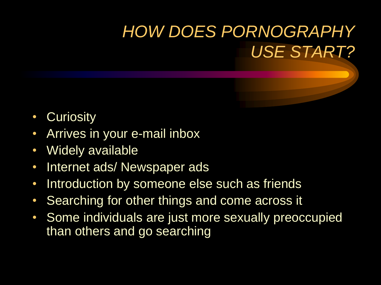### *HOW DOES PORNOGRAPHY USE START?*

- Curiosity
- Arrives in your e-mail inbox
- Widely available
- Internet ads/ Newspaper ads
- Introduction by someone else such as friends
- Searching for other things and come across it
- Some individuals are just more sexually preoccupied than others and go searching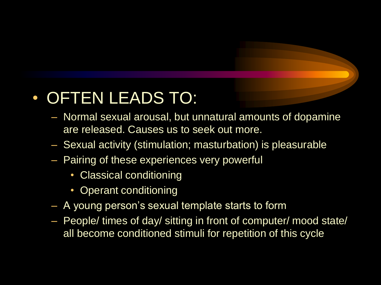### • OFTEN LEADS TO:

- Normal sexual arousal, but unnatural amounts of dopamine are released. Causes us to seek out more.
- Sexual activity (stimulation; masturbation) is pleasurable
- Pairing of these experiences very powerful
	- Classical conditioning
	- Operant conditioning
- A young person's sexual template starts to form
- People/ times of day/ sitting in front of computer/ mood state/ all become conditioned stimuli for repetition of this cycle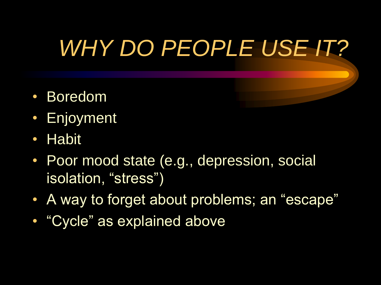# *WHY DO PEOPLE USE IT?*

- Boredom
- Enjoyment
- Habit
- Poor mood state (e.g., depression, social isolation, "stress")
- A way to forget about problems; an "escape"
- "Cycle" as explained above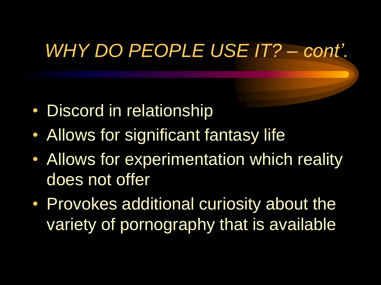## *WHY DO PEOPLE USE IT? – cont'.*

- Discord in relationship
- Allows for significant fantasy life
- Allows for experimentation which reality does not offer
- Provokes additional curiosity about the variety of pornography that is available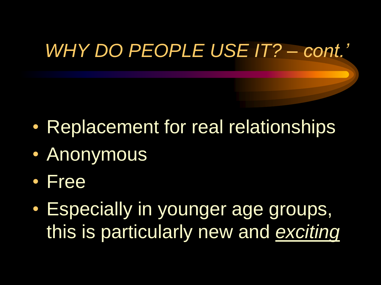## *WHY DO PEOPLE USE IT? – cont.'*

- Replacement for real relationships
- Anonymous
- Free
- Especially in younger age groups, this is particularly new and *exciting*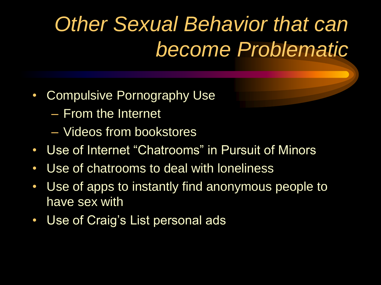## *Other Sexual Behavior that can become Problematic*

- Compulsive Pornography Use
	- From the Internet
	- Videos from bookstores
- Use of Internet "Chatrooms" in Pursuit of Minors
- Use of chatrooms to deal with loneliness
- Use of apps to instantly find anonymous people to have sex with
- Use of Craig's List personal ads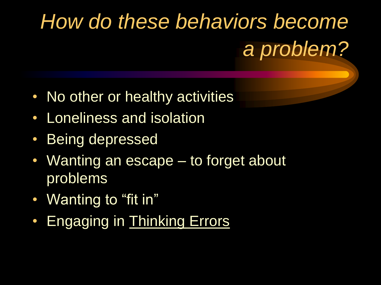# *How do these behaviors become a problem?*

- No other or healthy activities
- Loneliness and isolation
- Being depressed
- Wanting an escape to forget about problems
- Wanting to "fit in"
- Engaging in Thinking Errors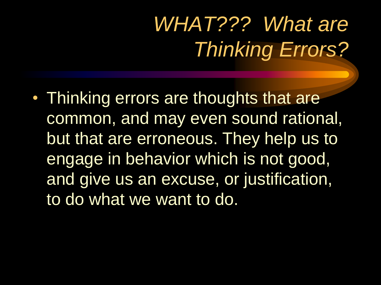# *WHAT??? What are Thinking Errors?*

• Thinking errors are thoughts that are common, and may even sound rational, but that are erroneous. They help us to engage in behavior which is not good, and give us an excuse, or justification, to do what we want to do.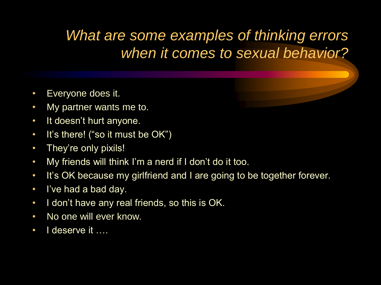#### *What are some examples of thinking errors when it comes to sexual behavior?*

- Everyone does it.
- My partner wants me to.
- It doesn't hurt anyone.
- It's there! ("so it must be OK")
- They're only pixils!
- My friends will think I'm a nerd if I don't do it too.
- It's OK because my girlfriend and I are going to be together forever.
- I've had a bad day.
- I don't have any real friends, so this is OK.
- No one will ever know.
- I deserve it ….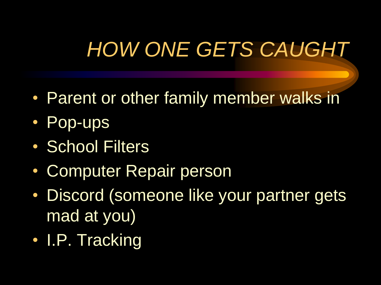## *HOW ONE GETS CAUGHT*

- Parent or other family member walks in
- Pop-ups
- School Filters
- Computer Repair person
- Discord (someone like your partner gets mad at you)
- I.P. Tracking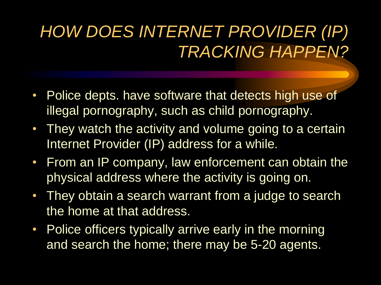### *HOW DOES INTERNET PROVIDER (IP) TRACKING HAPPEN?*

- Police depts. have software that detects high use of illegal pornography, such as child pornography.
- They watch the activity and volume going to a certain Internet Provider (IP) address for a while.
- From an IP company, law enforcement can obtain the physical address where the activity is going on.
- They obtain a search warrant from a judge to search the home at that address.
- Police officers typically arrive early in the morning and search the home; there may be 5-20 agents.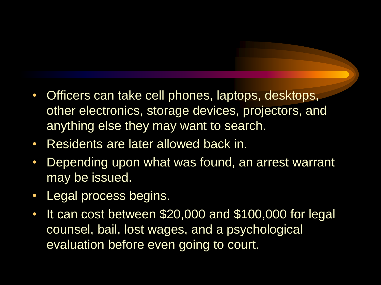- Officers can take cell phones, laptops, desktops, other electronics, storage devices, projectors, and anything else they may want to search.
- Residents are later allowed back in.
- Depending upon what was found, an arrest warrant may be issued.
- Legal process begins.
- It can cost between \$20,000 and \$100,000 for legal counsel, bail, lost wages, and a psychological evaluation before even going to court.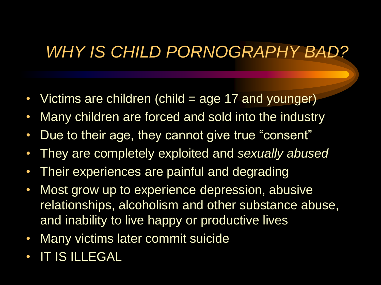### *WHY IS CHILD PORNOGRAPHY BAD?*

- Victims are children (child = age 17 and younger)
- Many children are forced and sold into the industry
- Due to their age, they cannot give true "consent"
- They are completely exploited and *sexually abused*
- Their experiences are painful and degrading
- Most grow up to experience depression, abusive relationships, alcoholism and other substance abuse, and inability to live happy or productive lives
- Many victims later commit suicide
- IT IS ILLEGAL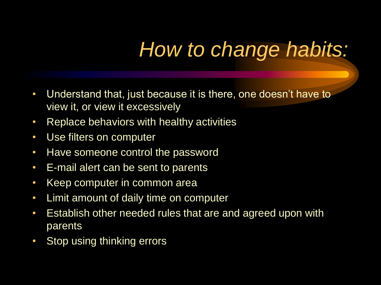## *How to change habits:*

- Understand that, just because it is there, one doesn't have to view it, or view it excessively
- Replace behaviors with healthy activities
- Use filters on computer
- Have someone control the password
- E-mail alert can be sent to parents
- Keep computer in common area
- Limit amount of daily time on computer
- Establish other needed rules that are and agreed upon with parents
- Stop using thinking errors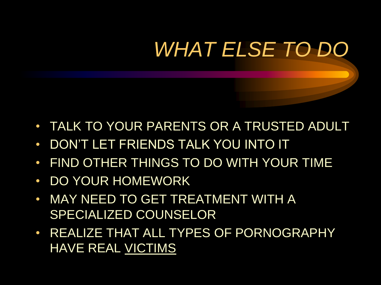# *WHAT ELSE TO DO*

- TALK TO YOUR PARENTS OR A TRUSTED ADULT
- DON'T LET FRIENDS TALK YOU INTO IT
- FIND OTHER THINGS TO DO WITH YOUR TIME
- DO YOUR HOMEWORK,
- MAY NEED TO GET TREATMENT WITH A SPECIALIZED COUNSELOR
- REALIZE THAT ALL TYPES OF PORNOGRAPHY HAVE REAL VICTIMS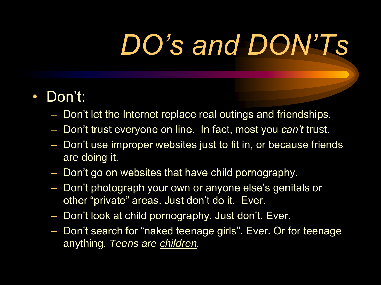# *DO's and DON'Ts*

#### • Don't:

- Don't let the Internet replace real outings and friendships.
- Don't trust everyone on line. In fact, most you *can't* trust.
- Don't use improper websites just to fit in, or because friends are doing it.
- Don't go on websites that have child pornography.
- Don't photograph your own or anyone else's genitals or other "private" areas. Just don't do it. Ever.
- Don't look at child pornography. Just don't. Ever.
- Don't search for "naked teenage girls". Ever. Or for teenage anything. *Teens are children.*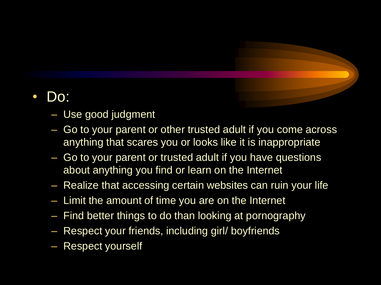#### • Do:

- Use good judgment
- Go to your parent or other trusted adult if you come across anything that scares you or looks like it is inappropriate
- Go to your parent or trusted adult if you have questions about anything you find or learn on the Internet
- Realize that accessing certain websites can ruin your life
- Limit the amount of time you are on the Internet
- Find better things to do than looking at pornography
- Respect your friends, including girl/ boyfriends
- Respect yourself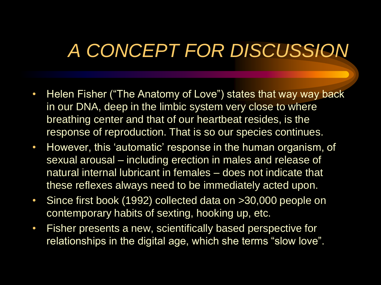## *A CONCEPT FOR DISCUSSION*

- Helen Fisher ("The Anatomy of Love") states that way way back in our DNA, deep in the limbic system very close to where breathing center and that of our heartbeat resides, is the response of reproduction. That is so our species continues.
- However, this 'automatic' response in the human organism, of sexual arousal – including erection in males and release of natural internal lubricant in females – does not indicate that these reflexes always need to be immediately acted upon.
- Since first book (1992) collected data on >30,000 people on contemporary habits of sexting, hooking up, etc.
- Fisher presents a new, scientifically based perspective for relationships in the digital age, which she terms "slow love".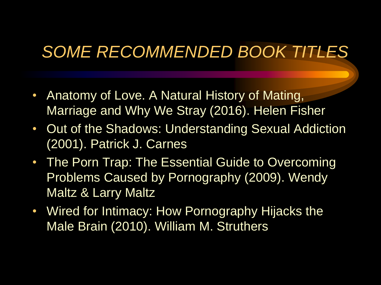### *SOME RECOMMENDED BOOK TITLES*

- Anatomy of Love. A Natural History of Mating, Marriage and Why We Stray (2016). Helen Fisher
- Out of the Shadows: Understanding Sexual Addiction (2001). Patrick J. Carnes
- The Porn Trap: The Essential Guide to Overcoming Problems Caused by Pornography (2009). Wendy Maltz & Larry Maltz
- Wired for Intimacy: How Pornography Hijacks the Male Brain (2010). William M. Struthers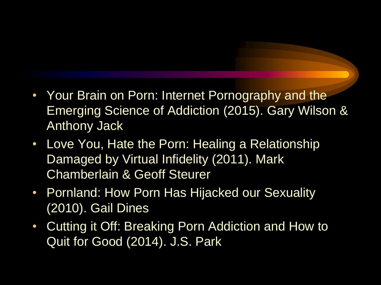- Your Brain on Porn: Internet Pornography and the Emerging Science of Addiction (2015). Gary Wilson & Anthony Jack
- Love You, Hate the Porn: Healing a Relationship Damaged by Virtual Infidelity (2011). Mark Chamberlain & Geoff Steurer
- Pornland: How Porn Has Hijacked our Sexuality (2010). Gail Dines
- Cutting it Off: Breaking Porn Addiction and How to Quit for Good (2014). J.S. Park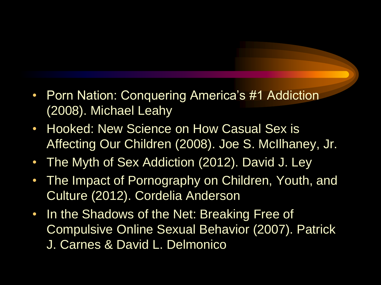- Porn Nation: Conquering America's #1 Addiction (2008). Michael Leahy
- Hooked: New Science on How Casual Sex is Affecting Our Children (2008). Joe S. McIlhaney, Jr.
- The Myth of Sex Addiction (2012). David J. Ley
- The Impact of Pornography on Children, Youth, and Culture (2012). Cordelia Anderson
- In the Shadows of the Net: Breaking Free of Compulsive Online Sexual Behavior (2007). Patrick J. Carnes & David L. Delmonico